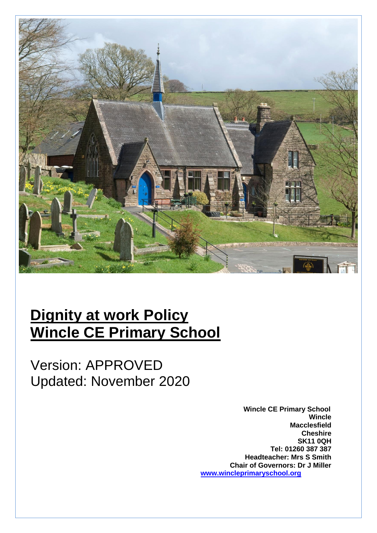

# **Dignity at work Policy Wincle CE Primary School**

Version: APPROVED Updated: November 2020

> **Wincle CE Primary School Wincle Macclesfield Cheshire SK11 0QH Tel: 01260 387 387 Headteacher: Mrs S Smith Chair of Governors: Dr J Miller [www.wincleprimaryschool.org](http://www.wincleprimaryschool.org/)**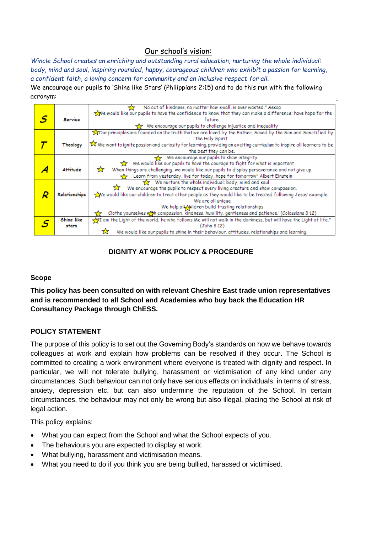# Our school's vision:

*Wincle School creates an enriching and outstanding rural education, nurturing the whole individual: body, mind and soul, inspiring rounded, happy, courageous children who exhibit a passion for learning, a confident faith, a loving concern for community and an inclusive respect for all.* We encourage our pupils to 'Shine like Stars' (Philippians 2:15) and to do this run with the following acronym:

|   |                   | No act of kindness, no matter how small, is ever wasted." Aesop                                                          |  |
|---|-------------------|--------------------------------------------------------------------------------------------------------------------------|--|
|   |                   | we would like our pupils to have the confidence to know that they can make a difference: have hope for the               |  |
| S | Service           | future.                                                                                                                  |  |
|   |                   | We encourage our pupils to challenge injustice and inequality                                                            |  |
|   |                   | Tour principles are founded on the truth that we are loved by the Father, Saved by the Son and Sanctified by             |  |
|   |                   | the Holy Spirit.                                                                                                         |  |
|   | Theology          | X We want to ignite passion and curiosity for learning, providing an exciting curriculum to inspire all learners to be   |  |
|   |                   | the best they can be.                                                                                                    |  |
|   |                   | We encourage our pupils to show integrity                                                                                |  |
|   |                   | We would like our pupils to have the courage to fight for what is important<br>$\frac{1}{2}$                             |  |
|   | Attitude          | When things are challenging, we would like our pupils to display perseverance and not give up.<br>ਕੋ                     |  |
|   |                   | Learn from yesterday, live for today, hope for tomorrow" Albert Einstein                                                 |  |
|   |                   | We nurture the whole individual: body, mind and soul                                                                     |  |
|   |                   | We encourage the pupils to respect every living creature and show compassion.                                            |  |
|   | Relationships     | we would like our children to treat other people as they would like to be treated following Jesus' example.              |  |
|   | We are all unique |                                                                                                                          |  |
|   |                   | We help all Maildren build trusting relationships                                                                        |  |
|   |                   | Clothe yourselves w/h compassion, kindness, humility, gentleness and patience.' (Colossians 3:12)                        |  |
|   | Shine like        | $\sqrt{9}$ am the Light of the world; he who follows Me will not walk in the darkness, but will have the Light of life." |  |
|   | stars             | (John 8:12)                                                                                                              |  |
|   |                   | We would like our pupils to shine in their behaviour, attitudes, relationships and learning.                             |  |

# **DIGNITY AT WORK POLICY & PROCEDURE**

### **Scope**

**This policy has been consulted on with relevant Cheshire East trade union representatives and is recommended to all School and Academies who buy back the Education HR Consultancy Package through ChESS.**

### **POLICY STATEMENT**

The purpose of this policy is to set out the Governing Body's standards on how we behave towards colleagues at work and explain how problems can be resolved if they occur. The School is committed to creating a work environment where everyone is treated with dignity and respect. In particular, we will not tolerate bullying, harassment or victimisation of any kind under any circumstances. Such behaviour can not only have serious effects on individuals, in terms of stress, anxiety, depression etc. but can also undermine the reputation of the School. In certain circumstances, the behaviour may not only be wrong but also illegal, placing the School at risk of legal action.

This policy explains:

- What you can expect from the School and what the School expects of you.
- The behaviours you are expected to display at work.
- What bullying, harassment and victimisation means.
- What you need to do if you think you are being bullied, harassed or victimised.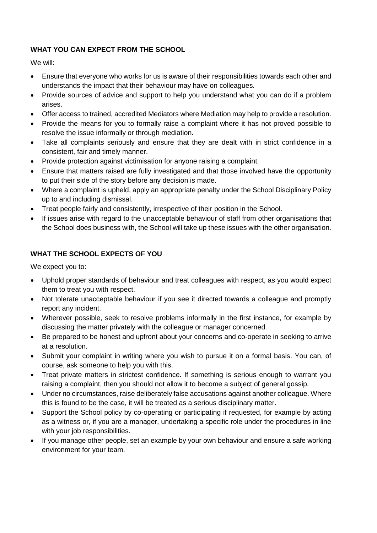# **WHAT YOU CAN EXPECT FROM THE SCHOOL**

We will:

- Ensure that everyone who works for us is aware of their responsibilities towards each other and understands the impact that their behaviour may have on colleagues.
- Provide sources of advice and support to help you understand what you can do if a problem arises.
- Offer access to trained, accredited Mediators where Mediation may help to provide a resolution.
- Provide the means for you to formally raise a complaint where it has not proved possible to resolve the issue informally or through mediation.
- Take all complaints seriously and ensure that they are dealt with in strict confidence in a consistent, fair and timely manner.
- Provide protection against victimisation for anyone raising a complaint.
- Ensure that matters raised are fully investigated and that those involved have the opportunity to put their side of the story before any decision is made.
- Where a complaint is upheld, apply an appropriate penalty under the School Disciplinary Policy up to and including dismissal.
- Treat people fairly and consistently, irrespective of their position in the School.
- If issues arise with regard to the unacceptable behaviour of staff from other organisations that the School does business with, the School will take up these issues with the other organisation.

# **WHAT THE SCHOOL EXPECTS OF YOU**

We expect you to:

- Uphold proper standards of behaviour and treat colleagues with respect, as you would expect them to treat you with respect.
- Not tolerate unacceptable behaviour if you see it directed towards a colleague and promptly report any incident.
- Wherever possible, seek to resolve problems informally in the first instance, for example by discussing the matter privately with the colleague or manager concerned.
- Be prepared to be honest and upfront about your concerns and co-operate in seeking to arrive at a resolution.
- Submit your complaint in writing where you wish to pursue it on a formal basis. You can, of course, ask someone to help you with this.
- Treat private matters in strictest confidence. If something is serious enough to warrant you raising a complaint, then you should not allow it to become a subject of general gossip.
- Under no circumstances, raise deliberately false accusations against another colleague. Where this is found to be the case, it will be treated as a serious disciplinary matter.
- Support the School policy by co-operating or participating if requested, for example by acting as a witness or, if you are a manager, undertaking a specific role under the procedures in line with your job responsibilities.
- If you manage other people, set an example by your own behaviour and ensure a safe working environment for your team.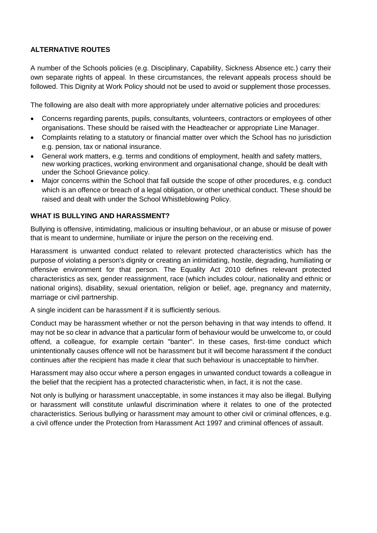#### **ALTERNATIVE ROUTES**

A number of the Schools policies (e.g. Disciplinary, Capability, Sickness Absence etc.) carry their own separate rights of appeal. In these circumstances, the relevant appeals process should be followed. This Dignity at Work Policy should not be used to avoid or supplement those processes.

The following are also dealt with more appropriately under alternative policies and procedures:

- Concerns regarding parents, pupils, consultants, volunteers, contractors or employees of other organisations. These should be raised with the Headteacher or appropriate Line Manager.
- Complaints relating to a statutory or financial matter over which the School has no jurisdiction e.g. pension, tax or national insurance.
- General work matters, e.g. terms and conditions of employment, health and safety matters, new working practices, working environment and organisational change, should be dealt with under the School Grievance policy.
- Major concerns within the School that fall outside the scope of other procedures, e.g. conduct which is an offence or breach of a legal obligation, or other unethical conduct. These should be raised and dealt with under the School Whistleblowing Policy.

#### **WHAT IS BULLYING AND HARASSMENT?**

Bullying is offensive, intimidating, malicious or insulting behaviour, or an abuse or misuse of power that is meant to undermine, humiliate or injure the person on the receiving end.

Harassment is unwanted conduct related to relevant protected characteristics which has the purpose of violating a person's dignity or creating an intimidating, hostile, degrading, humiliating or offensive environment for that person. The Equality Act 2010 defines relevant protected characteristics as sex, gender reassignment, race (which includes colour, nationality and ethnic or national origins), disability, sexual orientation, religion or belief, age, pregnancy and maternity, marriage or civil partnership.

A single incident can be harassment if it is sufficiently serious.

Conduct may be harassment whether or not the person behaving in that way intends to offend. It may not be so clear in advance that a particular form of behaviour would be unwelcome to, or could offend, a colleague, for example certain "banter". In these cases, first-time conduct which unintentionally causes offence will not be harassment but it will become harassment if the conduct continues after the recipient has made it clear that such behaviour is unacceptable to him/her.

Harassment may also occur where a person engages in unwanted conduct towards a colleague in the belief that the recipient has a protected characteristic when, in fact, it is not the case.

Not only is bullying or harassment unacceptable, in some instances it may also be illegal. Bullying or harassment will constitute unlawful discrimination where it relates to one of the protected characteristics. Serious bullying or harassment may amount to other civil or criminal offences, e.g. a civil offence under the Protection from Harassment Act 1997 and criminal offences of assault.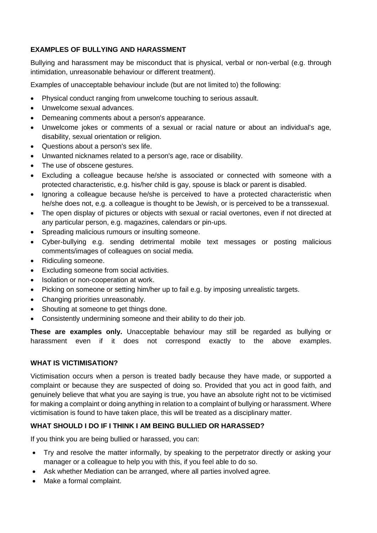### **EXAMPLES OF BULLYING AND HARASSMENT**

Bullying and harassment may be misconduct that is physical, verbal or non-verbal (e.g. through intimidation, unreasonable behaviour or different treatment).

Examples of unacceptable behaviour include (but are not limited to) the following:

- Physical conduct ranging from unwelcome touching to serious assault.
- Unwelcome sexual advances.
- Demeaning comments about a person's appearance.
- Unwelcome jokes or comments of a sexual or racial nature or about an individual's age, disability, sexual orientation or religion.
- Questions about a person's sex life.
- Unwanted nicknames related to a person's age, race or disability.
- The use of obscene gestures.
- Excluding a colleague because he/she is associated or connected with someone with a protected characteristic, e.g. his/her child is gay, spouse is black or parent is disabled.
- Ignoring a colleague because he/she is perceived to have a protected characteristic when he/she does not, e.g. a colleague is thought to be Jewish, or is perceived to be a transsexual.
- The open display of pictures or objects with sexual or racial overtones, even if not directed at any particular person, e.g. magazines, calendars or pin-ups.
- Spreading malicious rumours or insulting someone.
- Cyber-bullying e.g. sending detrimental mobile text messages or posting malicious comments/images of colleagues on social media.
- Ridiculing someone.
- Excluding someone from social activities.
- Isolation or non-cooperation at work.
- Picking on someone or setting him/her up to fail e.g. by imposing unrealistic targets.
- Changing priorities unreasonably.
- Shouting at someone to get things done.
- Consistently undermining someone and their ability to do their job.

**These are examples only.** Unacceptable behaviour may still be regarded as bullying or harassment even if it does not correspond exactly to the above examples.

#### **WHAT IS VICTIMISATION?**

Victimisation occurs when a person is treated badly because they have made, or supported a complaint or because they are suspected of doing so. Provided that you act in good faith, and genuinely believe that what you are saying is true, you have an absolute right not to be victimised for making a complaint or doing anything in relation to a complaint of bullying or harassment. Where victimisation is found to have taken place, this will be treated as a disciplinary matter.

### **WHAT SHOULD I DO IF I THINK I AM BEING BULLIED OR HARASSED?**

If you think you are being bullied or harassed, you can:

- Try and resolve the matter informally, by speaking to the perpetrator directly or asking your manager or a colleague to help you with this, if you feel able to do so.
- Ask whether Mediation can be arranged, where all parties involved agree.
- Make a formal complaint.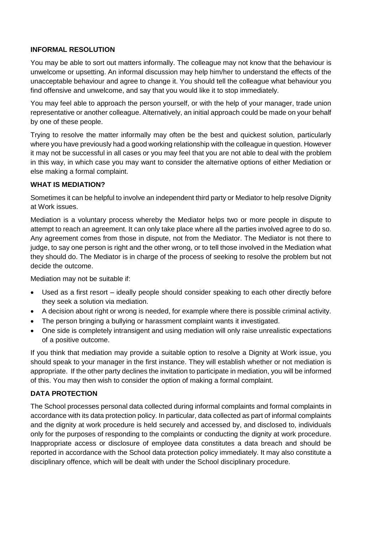#### **INFORMAL RESOLUTION**

You may be able to sort out matters informally. The colleague may not know that the behaviour is unwelcome or upsetting. An informal discussion may help him/her to understand the effects of the unacceptable behaviour and agree to change it. You should tell the colleague what behaviour you find offensive and unwelcome, and say that you would like it to stop immediately.

You may feel able to approach the person yourself, or with the help of your manager, trade union representative or another colleague. Alternatively, an initial approach could be made on your behalf by one of these people.

Trying to resolve the matter informally may often be the best and quickest solution, particularly where you have previously had a good working relationship with the colleague in question. However it may not be successful in all cases or you may feel that you are not able to deal with the problem in this way, in which case you may want to consider the alternative options of either Mediation or else making a formal complaint.

#### **WHAT IS MEDIATION?**

Sometimes it can be helpful to involve an independent third party or Mediator to help resolve Dignity at Work issues.

Mediation is a voluntary process whereby the Mediator helps two or more people in dispute to attempt to reach an agreement. It can only take place where all the parties involved agree to do so. Any agreement comes from those in dispute, not from the Mediator. The Mediator is not there to judge, to say one person is right and the other wrong, or to tell those involved in the Mediation what they should do. The Mediator is in charge of the process of seeking to resolve the problem but not decide the outcome.

Mediation may not be suitable if:

- Used as a first resort ideally people should consider speaking to each other directly before they seek a solution via mediation.
- A decision about right or wrong is needed, for example where there is possible criminal activity.
- The person bringing a bullying or harassment complaint wants it investigated.
- One side is completely intransigent and using mediation will only raise unrealistic expectations of a positive outcome.

If you think that mediation may provide a suitable option to resolve a Dignity at Work issue, you should speak to your manager in the first instance. They will establish whether or not mediation is appropriate. If the other party declines the invitation to participate in mediation, you will be informed of this. You may then wish to consider the option of making a formal complaint.

### **DATA PROTECTION**

The School processes personal data collected during informal complaints and formal complaints in accordance with its data protection policy. In particular, data collected as part of informal complaints and the dignity at work procedure is held securely and accessed by, and disclosed to, individuals only for the purposes of responding to the complaints or conducting the dignity at work procedure. Inappropriate access or disclosure of employee data constitutes a data breach and should be reported in accordance with the School data protection policy immediately. It may also constitute a disciplinary offence, which will be dealt with under the School disciplinary procedure.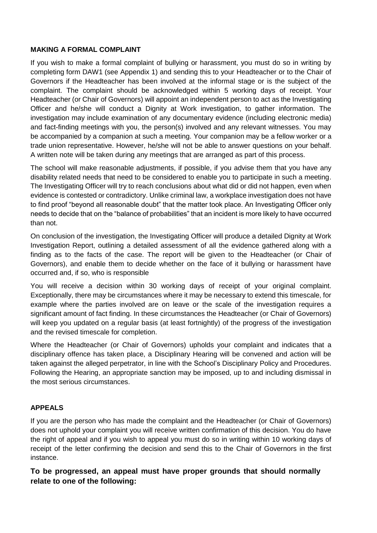#### **MAKING A FORMAL COMPLAINT**

If you wish to make a formal complaint of bullying or harassment, you must do so in writing by completing form DAW1 (see Appendix 1) and sending this to your Headteacher or to the Chair of Governors if the Headteacher has been involved at the informal stage or is the subject of the complaint. The complaint should be acknowledged within 5 working days of receipt. Your Headteacher (or Chair of Governors) will appoint an independent person to act as the Investigating Officer and he/she will conduct a Dignity at Work investigation, to gather information. The investigation may include examination of any documentary evidence (including electronic media) and fact-finding meetings with you, the person(s) involved and any relevant witnesses. You may be accompanied by a companion at such a meeting. Your companion may be a fellow worker or a trade union representative. However, he/she will not be able to answer questions on your behalf. A written note will be taken during any meetings that are arranged as part of this process.

The school will make reasonable adjustments, if possible, if you advise them that you have any disability related needs that need to be considered to enable you to participate in such a meeting. The Investigating Officer will try to reach conclusions about what did or did not happen, even when evidence is contested or contradictory. Unlike criminal law, a workplace investigation does not have to find proof "beyond all reasonable doubt" that the matter took place. An Investigating Officer only needs to decide that on the "balance of probabilities" that an incident is more likely to have occurred than not.

On conclusion of the investigation, the Investigating Officer will produce a detailed Dignity at Work Investigation Report, outlining a detailed assessment of all the evidence gathered along with a finding as to the facts of the case. The report will be given to the Headteacher (or Chair of Governors), and enable them to decide whether on the face of it bullying or harassment have occurred and, if so, who is responsible

You will receive a decision within 30 working days of receipt of your original complaint. Exceptionally, there may be circumstances where it may be necessary to extend this timescale, for example where the parties involved are on leave or the scale of the investigation requires a significant amount of fact finding. In these circumstances the Headteacher (or Chair of Governors) will keep you updated on a regular basis (at least fortnightly) of the progress of the investigation and the revised timescale for completion.

Where the Headteacher (or Chair of Governors) upholds your complaint and indicates that a disciplinary offence has taken place, a Disciplinary Hearing will be convened and action will be taken against the alleged perpetrator, in line with the School's Disciplinary Policy and Procedures. Following the Hearing, an appropriate sanction may be imposed, up to and including dismissal in the most serious circumstances.

### **APPEALS**

If you are the person who has made the complaint and the Headteacher (or Chair of Governors) does not uphold your complaint you will receive written confirmation of this decision. You do have the right of appeal and if you wish to appeal you must do so in writing within 10 working days of receipt of the letter confirming the decision and send this to the Chair of Governors in the first instance.

**To be progressed, an appeal must have proper grounds that should normally relate to one of the following:**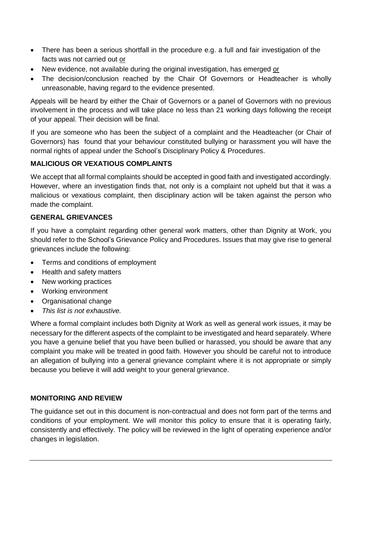- There has been a serious shortfall in the procedure e.g. a full and fair investigation of the facts was not carried out or
- New evidence, not available during the original investigation, has emerged or
- The decision/conclusion reached by the Chair Of Governors or Headteacher is wholly unreasonable, having regard to the evidence presented.

Appeals will be heard by either the Chair of Governors or a panel of Governors with no previous involvement in the process and will take place no less than 21 working days following the receipt of your appeal. Their decision will be final.

If you are someone who has been the subject of a complaint and the Headteacher (or Chair of Governors) has found that your behaviour constituted bullying or harassment you will have the normal rights of appeal under the School's Disciplinary Policy & Procedures.

# **MALICIOUS OR VEXATIOUS COMPLAINTS**

We accept that all formal complaints should be accepted in good faith and investigated accordingly. However, where an investigation finds that, not only is a complaint not upheld but that it was a malicious or vexatious complaint, then disciplinary action will be taken against the person who made the complaint.

# **GENERAL GRIEVANCES**

If you have a complaint regarding other general work matters, other than Dignity at Work, you should refer to the School's Grievance Policy and Procedures. Issues that may give rise to general grievances include the following:

- Terms and conditions of employment
- Health and safety matters
- New working practices
- Working environment
- Organisational change
- *This list is not exhaustive.*

Where a formal complaint includes both Dignity at Work as well as general work issues, it may be necessary for the different aspects of the complaint to be investigated and heard separately. Where you have a genuine belief that you have been bullied or harassed, you should be aware that any complaint you make will be treated in good faith. However you should be careful not to introduce an allegation of bullying into a general grievance complaint where it is not appropriate or simply because you believe it will add weight to your general grievance.

### **MONITORING AND REVIEW**

The guidance set out in this document is non-contractual and does not form part of the terms and conditions of your employment. We will monitor this policy to ensure that it is operating fairly, consistently and effectively. The policy will be reviewed in the light of operating experience and/or changes in legislation.